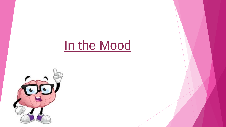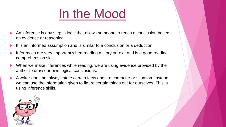- An inference is any step in logic that allows someone to reach a conclusion based on evidence or reasoning.
- It is an informed assumption and is similar to a conclusion or a deduction.
- Inferences are very important when reading a story or text, and is a good reading comprehension skill.
- When we make inferences while reading, we are using evidence provided by the author to draw our own logical conclusions.
- A writer does not always state certain facts about a character or situation. Instead, we can use the information given to figure certain things out for ourselves. This is using inference skills.

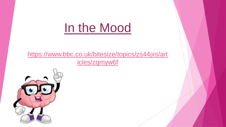#### [https://www.bbc.co.uk/bitesize/topics/zs44jxs/art](https://www.bbc.co.uk/bitesize/topics/zs44jxs/articles/zqmyw6f) icles/zqmyw6f

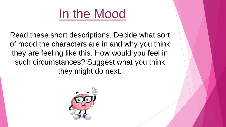Read these short descriptions. Decide what sort of mood the characters are in and why you think they are feeling like this. How would you feel in such circumstances? Suggest what you think they might do next.

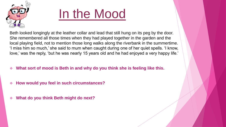

Beth looked longingly at the leather collar and lead that still hung on its peg by the door. She remembered all those times when they had played together in the garden and the local playing field, not to mention those long walks along the riverbank in the summertime. 'I miss him so much,' she said to mum when caught during one of her quiet spells. 'I know, love,' was the reply, 'but he was nearly 15 years old and he had enjoyed a very happy life.'

- ❖ **What sort of mood is Beth in and why do you think she is feeling like this.**
- ❖ **How would you feel in such circumstances?**
- ❖ **What do you think Beth might do next?**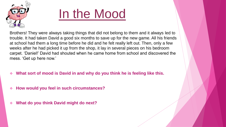

Brothers! They were always taking things that did not belong to them and it always led to trouble. It had taken David a good six months to save up for the new game. All his friends at school had them a long time before he did and he felt really left out. Then, only a few weeks after he had picked it up from the shop, it lay in several pieces on his bedroom carpet. 'Daniel!' David had shouted when he came home from school and discovered the mess. 'Get up here now.'

- ❖ **What sort of mood is David in and why do you think he is feeling like this.**
- ❖ **How would you feel in such circumstances?**
- ❖ **What do you think David might do next?**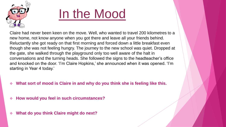

Claire had never been keen on the move. Well, who wanted to travel 200 kilometres to a new home, not know anyone when you got there and leave all your friends behind. Reluctantly she got ready on that first morning and forced down a little breakfast even though she was not feeling hungry. The journey to the new school was quiet. Dropped at the gate, she walked through the playground only too well aware of the halt in conversations and the turning heads. She followed the signs to the headteacher's office and knocked on the door. 'I'm Claire Hopkins,' she announced when it was opened. 'I'm starting in Year 4 today.'

- What sort of mood is Claire in and why do you think she is feeling like this.
- ❖ **How would you feel in such circumstances?**
- ❖ **What do you think Claire might do next?**